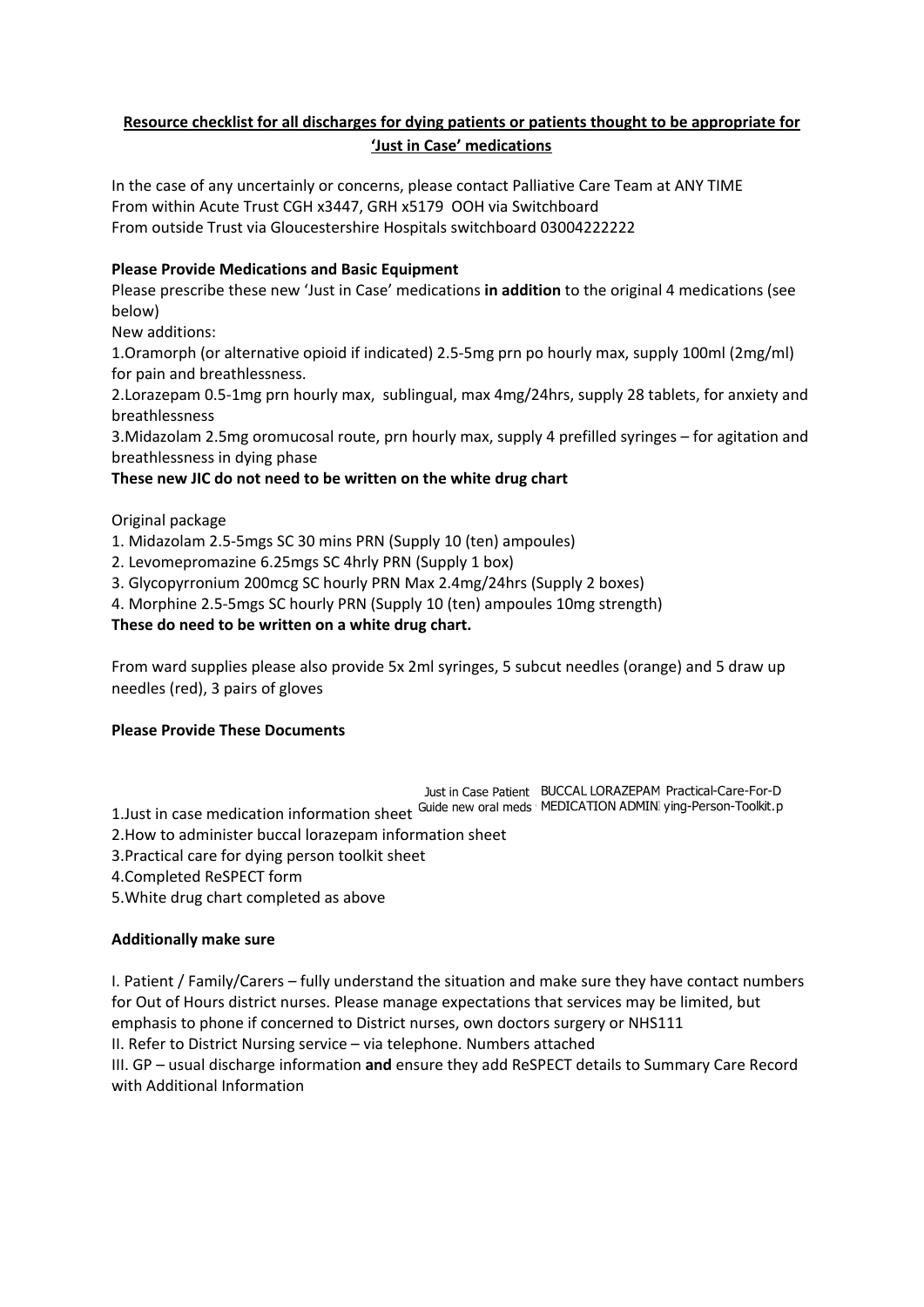# **Resource checklist for all discharges for dying patients or patients thought to be appropriate for 'Just in Case' medications**

In the case of any uncertainly or concerns, please contact Palliative Care Team at ANY TIME From within Acute Trust CGH x3447, GRH x5179 OOH via Switchboard From outside Trust via Gloucestershire Hospitals switchboard 03004222222

## **Please Provide Medications and Basic Equipment**

Please prescribe these new 'Just in Case' medications **in addition** to the original 4 medications (see below)

New additions:

1.Oramorph (or alternative opioid if indicated) 2.5-5mg prn po hourly max, supply 100ml (2mg/ml) for pain and breathlessness.

2.Lorazepam 0.5-1mg prn hourly max, sublingual, max 4mg/24hrs, supply 28 tablets, for anxiety and breathlessness

3.Midazolam 2.5mg oromucosal route, prn hourly max, supply 4 prefilled syringes – for agitation and breathlessness in dying phase

**These new JIC do not need to be written on the white drug chart**

Original package

1. Midazolam 2.5-5mgs SC 30 mins PRN (Supply 10 (ten) ampoules)

- 2. Levomepromazine 6.25mgs SC 4hrly PRN (Supply 1 box)
- 3. Glycopyrronium 200mcg SC hourly PRN Max 2.4mg/24hrs (Supply 2 boxes)
- 4. Morphine 2.5-5mgs SC hourly PRN (Supply 10 (ten) ampoules 10mg strength)

### **These do need to be written on a white drug chart.**

From ward supplies please also provide 5x 2ml syringes, 5 subcut needles (orange) and 5 draw up needles (red), 3 pairs of gloves

### **Please Provide These Documents**

Just in Case Patient BUCCAL LORAZEPAM Practical-Care-For-D 1.Just in case medication information sheet Guide new oral meds MEDICATION ADMINI ying-Person-Toolkit.p

2.How to administer buccal lorazepam information sheet

3.Practical care for dying person toolkit sheet

4.Completed ReSPECT form

5.White drug chart completed as above

### **Additionally make sure**

I. Patient / Family/Carers – fully understand the situation and make sure they have contact numbers for Out of Hours district nurses. Please manage expectations that services may be limited, but emphasis to phone if concerned to District nurses, own doctors surgery or NHS111 II. Refer to District Nursing service – via telephone. Numbers attached III. GP – usual discharge information **and** ensure they add ReSPECT details to Summary Care Record with Additional Information